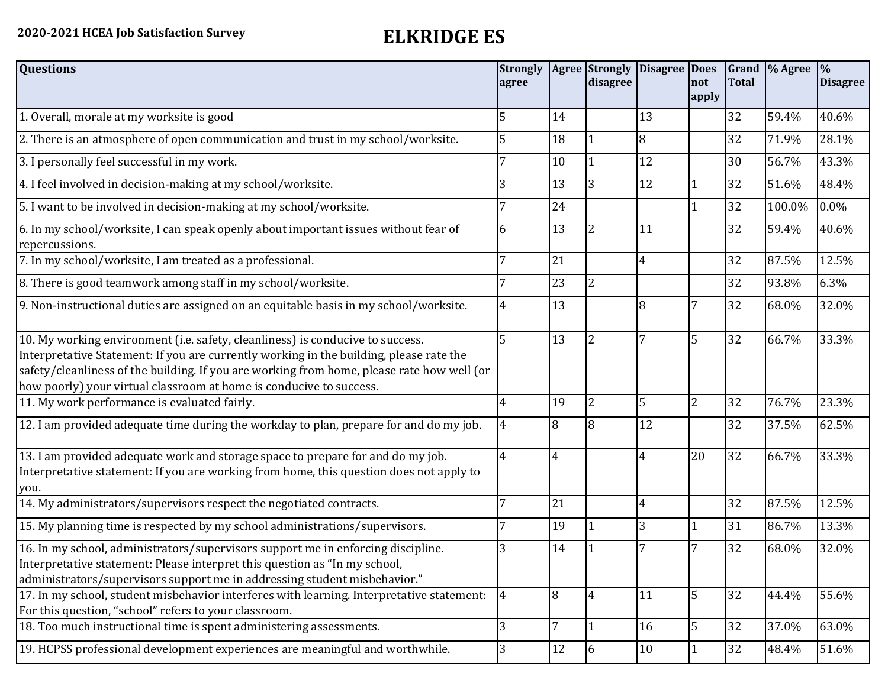| <b>Questions</b>                                                                                                                                                                                                                                                                                                                               | <b>Strongly</b><br>agree |    | <b>Agree</b> Strongly<br>disagree | <b>Disagree</b> | <b>Does</b><br>not<br>apply | <b>Total</b> | Grand \% Agree | $\frac{9}{6}$<br><b>Disagree</b> |
|------------------------------------------------------------------------------------------------------------------------------------------------------------------------------------------------------------------------------------------------------------------------------------------------------------------------------------------------|--------------------------|----|-----------------------------------|-----------------|-----------------------------|--------------|----------------|----------------------------------|
| 1. Overall, morale at my worksite is good                                                                                                                                                                                                                                                                                                      | 5                        | 14 |                                   | 13              |                             | 32           | 59.4%          | 40.6%                            |
| 2. There is an atmosphere of open communication and trust in my school/worksite.                                                                                                                                                                                                                                                               | 5                        | 18 |                                   | 8               |                             | 32           | 71.9%          | 28.1%                            |
| 3. I personally feel successful in my work.                                                                                                                                                                                                                                                                                                    |                          | 10 |                                   | 12              |                             | 30           | 56.7%          | 43.3%                            |
| 4. I feel involved in decision-making at my school/worksite.                                                                                                                                                                                                                                                                                   | 3                        | 13 | 3                                 | 12              | 1                           | 32           | 51.6%          | 48.4%                            |
| 5. I want to be involved in decision-making at my school/worksite.                                                                                                                                                                                                                                                                             | 7                        | 24 |                                   |                 | $\mathbf{1}$                | 32           | 100.0%         | 0.0%                             |
| 6. In my school/worksite, I can speak openly about important issues without fear of<br>repercussions.                                                                                                                                                                                                                                          | 6                        | 13 | 2                                 | 11              |                             | 32           | 59.4%          | 40.6%                            |
| 7. In my school/worksite, I am treated as a professional.                                                                                                                                                                                                                                                                                      | 7                        | 21 |                                   | $\overline{4}$  |                             | 32           | 87.5%          | 12.5%                            |
| 8. There is good teamwork among staff in my school/worksite.                                                                                                                                                                                                                                                                                   |                          | 23 | 2                                 |                 |                             | 32           | 93.8%          | 6.3%                             |
| 9. Non-instructional duties are assigned on an equitable basis in my school/worksite.                                                                                                                                                                                                                                                          | $\overline{4}$           | 13 |                                   | 8               | 7                           | 32           | 68.0%          | 32.0%                            |
| 10. My working environment (i.e. safety, cleanliness) is conducive to success.<br>Interpretative Statement: If you are currently working in the building, please rate the<br>safety/cleanliness of the building. If you are working from home, please rate how well (or<br>how poorly) your virtual classroom at home is conducive to success. | 5                        | 13 | 2                                 |                 | 5                           | 32           | 66.7%          | 33.3%                            |
| 11. My work performance is evaluated fairly.                                                                                                                                                                                                                                                                                                   | 4                        | 19 | $\overline{2}$                    | 5               | $\overline{2}$              | 32           | 76.7%          | 23.3%                            |
| 12. I am provided adequate time during the workday to plan, prepare for and do my job.                                                                                                                                                                                                                                                         | 4                        | 8  | 8                                 | 12              |                             | 32           | 37.5%          | 62.5%                            |
| 13. I am provided adequate work and storage space to prepare for and do my job.<br>Interpretative statement: If you are working from home, this question does not apply to<br>you.                                                                                                                                                             | $\overline{4}$           | 4  |                                   | 4               | 20                          | 32           | 66.7%          | 33.3%                            |
| 14. My administrators/supervisors respect the negotiated contracts.                                                                                                                                                                                                                                                                            | 7                        | 21 |                                   | 4               |                             | 32           | 87.5%          | 12.5%                            |
| 15. My planning time is respected by my school administrations/supervisors.                                                                                                                                                                                                                                                                    |                          | 19 |                                   | 3               | 1                           | 31           | 86.7%          | 13.3%                            |
| 16. In my school, administrators/supervisors support me in enforcing discipline.<br>Interpretative statement: Please interpret this question as "In my school,<br>administrators/supervisors support me in addressing student misbehavior."                                                                                                    | 3                        | 14 |                                   |                 | 7                           | 32           | 68.0%          | 32.0%                            |
| 17. In my school, student misbehavior interferes with learning. Interpretative statement:<br>For this question, "school" refers to your classroom.                                                                                                                                                                                             | 4                        | 8  | $\overline{4}$                    | 11              | 5                           | 32           | 44.4%          | 55.6%                            |
| 18. Too much instructional time is spent administering assessments.                                                                                                                                                                                                                                                                            | 3                        | 7  |                                   | 16              | 5                           | 32           | 37.0%          | 63.0%                            |
| 19. HCPSS professional development experiences are meaningful and worthwhile.                                                                                                                                                                                                                                                                  | 3                        | 12 | 6                                 | 10              |                             | 32           | 48.4%          | 51.6%                            |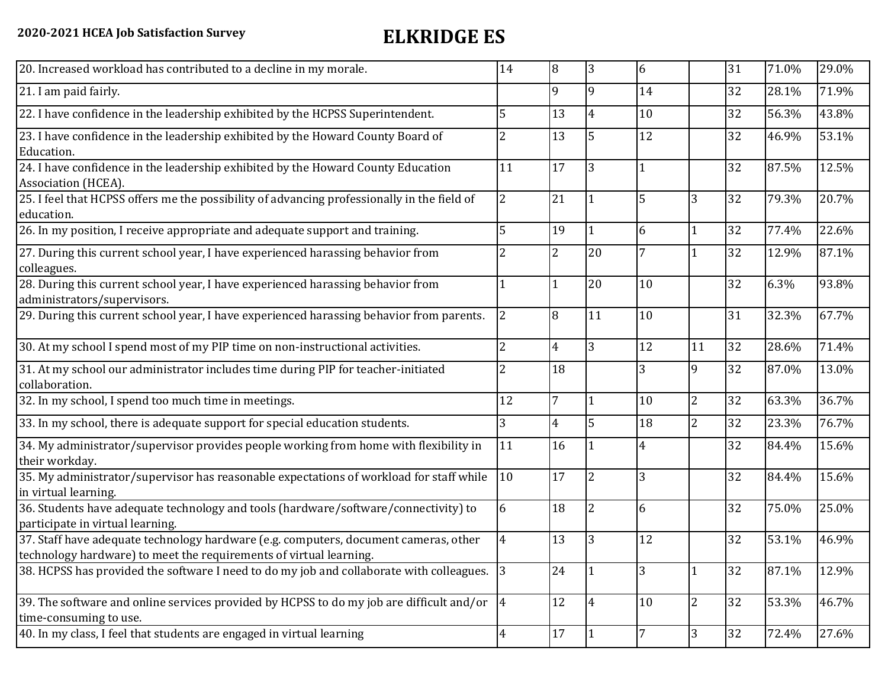| 20. Increased workload has contributed to a decline in my morale.                                                                                          | 14             | 8              | 3                        | 6              |                | 31 | 71.0% | 29.0% |
|------------------------------------------------------------------------------------------------------------------------------------------------------------|----------------|----------------|--------------------------|----------------|----------------|----|-------|-------|
| 21. I am paid fairly.                                                                                                                                      |                | 9              | 9                        | 14             |                | 32 | 28.1% | 71.9% |
| 22. I have confidence in the leadership exhibited by the HCPSS Superintendent.                                                                             | 5              | 13             |                          | 10             |                | 32 | 56.3% | 43.8% |
| 23. I have confidence in the leadership exhibited by the Howard County Board of<br>Education.                                                              | 2              | 13             | 5                        | 12             |                | 32 | 46.9% | 53.1% |
| 24. I have confidence in the leadership exhibited by the Howard County Education<br>Association (HCEA).                                                    | 11             | 17             | 3                        |                |                | 32 | 87.5% | 12.5% |
| 25. I feel that HCPSS offers me the possibility of advancing professionally in the field of<br>education.                                                  | $\overline{2}$ | 21             |                          | 5              | 3              | 32 | 79.3% | 20.7% |
| 26. In my position, I receive appropriate and adequate support and training.                                                                               | 5              | 19             |                          | 6              | 1              | 32 | 77.4% | 22.6% |
| 27. During this current school year, I have experienced harassing behavior from<br>colleagues.                                                             | 2              | $\overline{2}$ | 20                       |                |                | 32 | 12.9% | 87.1% |
| 28. During this current school year, I have experienced harassing behavior from<br>administrators/supervisors.                                             |                | 1              | 20                       | 10             |                | 32 | 6.3%  | 93.8% |
| 29. During this current school year, I have experienced harassing behavior from parents.                                                                   | $\overline{2}$ | 8              | 11                       | 10             |                | 31 | 32.3% | 67.7% |
| 30. At my school I spend most of my PIP time on non-instructional activities.                                                                              | $\overline{2}$ | 4              | $\overline{3}$           | 12             | 11             | 32 | 28.6% | 71.4% |
| 31. At my school our administrator includes time during PIP for teacher-initiated<br>collaboration.                                                        | $\overline{2}$ | 18             |                          | 3              | 9              | 32 | 87.0% | 13.0% |
| 32. In my school, I spend too much time in meetings.                                                                                                       | 12             | $\overline{7}$ |                          | 10             | $\overline{2}$ | 32 | 63.3% | 36.7% |
| 33. In my school, there is adequate support for special education students.                                                                                | 3              | 4              | 5                        | 18             | $\overline{2}$ | 32 | 23.3% | 76.7% |
| 34. My administrator/supervisor provides people working from home with flexibility in<br>their workday.                                                    | 11             | 16             |                          | 4              |                | 32 | 84.4% | 15.6% |
| 35. My administrator/supervisor has reasonable expectations of workload for staff while<br>in virtual learning.                                            | 10             | 17             | 2                        | $\overline{3}$ |                | 32 | 84.4% | 15.6% |
| 36. Students have adequate technology and tools (hardware/software/connectivity) to<br>participate in virtual learning.                                    | 6              | 18             | $\overline{\mathcal{L}}$ | 6              |                | 32 | 75.0% | 25.0% |
| 37. Staff have adequate technology hardware (e.g. computers, document cameras, other<br>technology hardware) to meet the requirements of virtual learning. | 4              | 13             | Ι3                       | 12             |                | 32 | 53.1% | 46.9% |
| 38. HCPSS has provided the software I need to do my job and collaborate with colleagues.                                                                   | 3              | 24             |                          | 3              | $\mathbf{1}$   | 32 | 87.1% | 12.9% |
| 39. The software and online services provided by HCPSS to do my job are difficult and/or $\frac{1}{4}$<br>time-consuming to use.                           |                | 12             | 4                        | 10             | $\overline{2}$ | 32 | 53.3% | 46.7% |
| 40. In my class, I feel that students are engaged in virtual learning                                                                                      | $\overline{4}$ | <sup>17</sup>  |                          |                | $\overline{3}$ | 32 | 72.4% | 27.6% |